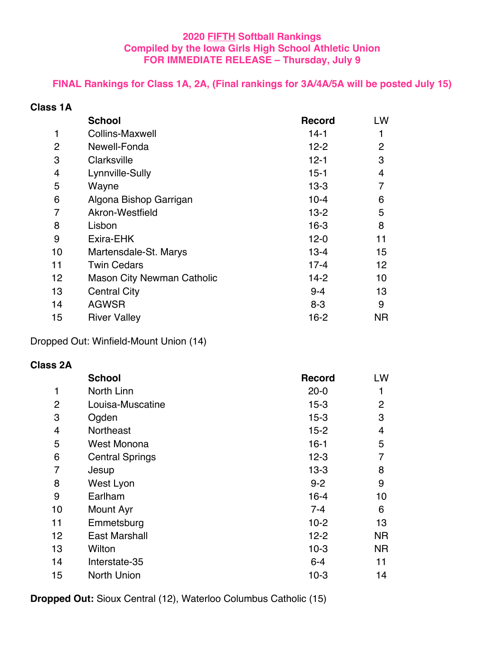### **2020 FIFTH Softball Rankings Compiled by the Iowa Girls High School Athletic Union FOR IMMEDIATE RELEASE – Thursday, July 9**

## **FINAL Rankings for Class 1A, 2A, (Final rankings for 3A/4A/5A will be posted July 15)**

| <b>Class 1A</b> |  |  |
|-----------------|--|--|
|-----------------|--|--|

|    | <b>School</b>                     | <b>Record</b> | LW             |
|----|-----------------------------------|---------------|----------------|
| 1  | <b>Collins-Maxwell</b>            | $14-1$        | 1              |
| 2  | Newell-Fonda                      | $12 - 2$      | $\overline{2}$ |
| 3  | Clarksville                       | $12 - 1$      | 3              |
| 4  | Lynnville-Sully                   | $15 - 1$      | 4              |
| 5  | Wayne                             | $13-3$        | 7              |
| 6  | Algona Bishop Garrigan            | $10 - 4$      | 6              |
| 7  | Akron-Westfield                   | $13-2$        | 5              |
| 8  | Lisbon                            | 16-3          | 8              |
| 9  | Exira-EHK                         | $12 - 0$      | 11             |
| 10 | Martensdale-St. Marys             | $13 - 4$      | 15             |
| 11 | <b>Twin Cedars</b>                | $17 - 4$      | 12             |
| 12 | <b>Mason City Newman Catholic</b> | $14-2$        | 10             |
| 13 | <b>Central City</b>               | $9 - 4$       | 13             |
| 14 | <b>AGWSR</b>                      | $8 - 3$       | 9              |
| 15 | <b>River Valley</b>               | 16-2          | NR.            |

Dropped Out: Winfield-Mount Union (14)

#### **Class 2A**

|                | <b>School</b>          | <b>Record</b> | LW             |
|----------------|------------------------|---------------|----------------|
| 1              | North Linn             | $20 - 0$      | 1              |
| $\overline{2}$ | Louisa-Muscatine       | $15 - 3$      | $\overline{2}$ |
| 3              | Ogden                  | $15 - 3$      | 3              |
| 4              | Northeast              | $15 - 2$      | 4              |
| 5              | <b>West Monona</b>     | $16 - 1$      | 5              |
| 6              | <b>Central Springs</b> | $12 - 3$      | 7              |
| 7              | Jesup                  | $13 - 3$      | 8              |
| 8              | West Lyon              | $9 - 2$       | 9              |
| 9              | Earlham                | $16 - 4$      | 10             |
| 10             | Mount Ayr              | $7 - 4$       | 6              |
| 11             | Emmetsburg             | $10-2$        | 13             |
| 12             | <b>East Marshall</b>   | $12 - 2$      | <b>NR</b>      |
| 13             | Wilton                 | $10-3$        | <b>NR</b>      |
| 14             | Interstate-35          | $6 - 4$       | 11             |
| 15             | <b>North Union</b>     | $10-3$        | 14             |

**Dropped Out:** Sioux Central (12), Waterloo Columbus Catholic (15)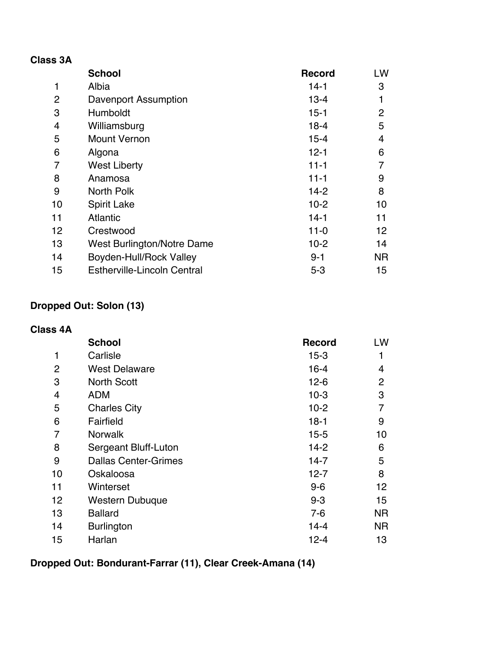| <b>Class 3A</b> |                                    |               |                |
|-----------------|------------------------------------|---------------|----------------|
|                 | <b>School</b>                      | <b>Record</b> | LW             |
| $\mathbf{1}$    | Albia                              | $14-1$        | 3              |
| 2               | Davenport Assumption               | $13 - 4$      | 1              |
| 3               | <b>Humboldt</b>                    | $15 - 1$      | $\overline{2}$ |
| $\overline{4}$  | Williamsburg                       | $18 - 4$      | 5              |
| 5               | <b>Mount Vernon</b>                | $15 - 4$      | 4              |
| 6               | Algona                             | $12 - 1$      | 6              |
| 7               | <b>West Liberty</b>                | $11 - 1$      | 7              |
| 8               | Anamosa                            | $11 - 1$      | 9              |
| 9               | North Polk                         | $14-2$        | 8              |
| 10              | <b>Spirit Lake</b>                 | $10 - 2$      | 10             |
| 11              | <b>Atlantic</b>                    | $14-1$        | 11             |
| 12              | Crestwood                          | $11 - 0$      | 12             |
| 13              | West Burlington/Notre Dame         | $10-2$        | 14             |
| 14              | Boyden-Hull/Rock Valley            | $9 - 1$       | NR.            |
| 15              | <b>Estherville-Lincoln Central</b> | $5 - 3$       | 15             |

# **Dropped Out: Solon (13)**

| <b>Class 4A</b> |                             |               |                 |
|-----------------|-----------------------------|---------------|-----------------|
|                 | <b>School</b>               | <b>Record</b> | LW              |
| 1               | Carlisle                    | $15 - 3$      | 1               |
| $\overline{2}$  | <b>West Delaware</b>        | $16 - 4$      | 4               |
| 3               | <b>North Scott</b>          | $12 - 6$      | $\overline{2}$  |
| $\overline{4}$  | <b>ADM</b>                  | $10-3$        | 3               |
| 5               | <b>Charles City</b>         | $10-2$        | 7               |
| 6               | Fairfield                   | $18-1$        | 9               |
| 7               | <b>Norwalk</b>              | $15 - 5$      | 10              |
| 8               | Sergeant Bluff-Luton        | $14 - 2$      | 6               |
| 9               | <b>Dallas Center-Grimes</b> | $14 - 7$      | 5               |
| 10              | Oskaloosa                   | $12 - 7$      | 8               |
| 11              | Winterset                   | $9-6$         | 12 <sup>2</sup> |
| 12              | <b>Western Dubuque</b>      | $9 - 3$       | 15              |
| 13              | <b>Ballard</b>              | $7-6$         | NR.             |
| 14              | <b>Burlington</b>           | $14 - 4$      | NR.             |
| 15              | Harlan                      | 12-4          | 13              |

# **Dropped Out: Bondurant-Farrar (11), Clear Creek-Amana (14)**